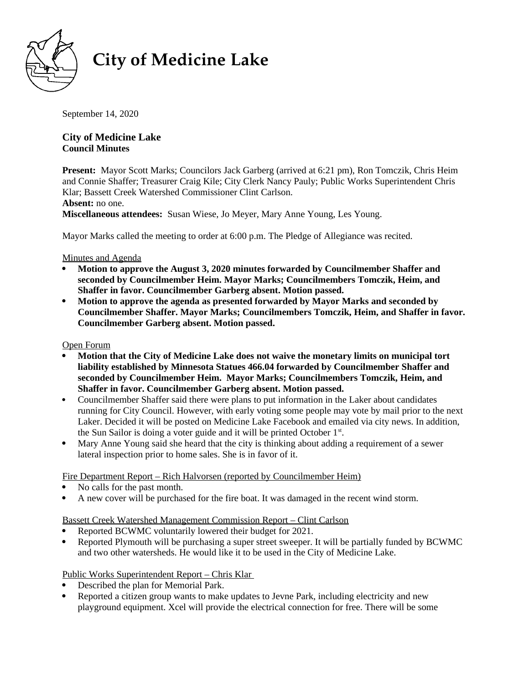

# **City of Medicine Lake**

September 14, 2020

## **City of Medicine Lake Council Minutes**

**Present:** Mayor Scott Marks; Councilors Jack Garberg (arrived at 6:21 pm), Ron Tomczik, Chris Heim and Connie Shaffer; Treasurer Craig Kile; City Clerk Nancy Pauly; Public Works Superintendent Chris Klar; Bassett Creek Watershed Commissioner Clint Carlson.

**Absent:** no one.

**Miscellaneous attendees:** Susan Wiese, Jo Meyer, Mary Anne Young, Les Young.

Mayor Marks called the meeting to order at 6:00 p.m. The Pledge of Allegiance was recited.

## Minutes and Agenda

- **Motion to approve the August 3, 2020 minutes forwarded by Councilmember Shaffer and seconded by Councilmember Heim. Mayor Marks; Councilmembers Tomczik, Heim, and Shaffer in favor. Councilmember Garberg absent. Motion passed.**
- **Motion to approve the agenda as presented forwarded by Mayor Marks and seconded by Councilmember Shaffer. Mayor Marks; Councilmembers Tomczik, Heim, and Shaffer in favor. Councilmember Garberg absent. Motion passed.**

#### Open Forum

- **Motion that the City of Medicine Lake does not waive the monetary limits on municipal tort liability established by Minnesota Statues 466.04 forwarded by Councilmember Shaffer and seconded by Councilmember Heim. Mayor Marks; Councilmembers Tomczik, Heim, and Shaffer in favor. Councilmember Garberg absent. Motion passed.**
- Councilmember Shaffer said there were plans to put information in the Laker about candidates running for City Council. However, with early voting some people may vote by mail prior to the next Laker. Decided it will be posted on Medicine Lake Facebook and emailed via city news. In addition, the Sun Sailor is doing a voter guide and it will be printed October  $1<sup>st</sup>$ .
- Mary Anne Young said she heard that the city is thinking about adding a requirement of a sewer lateral inspection prior to home sales. She is in favor of it.

Fire Department Report – Rich Halvorsen (reported by Councilmember Heim)

- No calls for the past month.
- A new cover will be purchased for the fire boat. It was damaged in the recent wind storm.

## Bassett Creek Watershed Management Commission Report – Clint Carlson

- Reported BCWMC voluntarily lowered their budget for 2021.
- Reported Plymouth will be purchasing a super street sweeper. It will be partially funded by BCWMC and two other watersheds. He would like it to be used in the City of Medicine Lake.

## Public Works Superintendent Report – Chris Klar

- Described the plan for Memorial Park.
- Reported a citizen group wants to make updates to Jevne Park, including electricity and new playground equipment. Xcel will provide the electrical connection for free. There will be some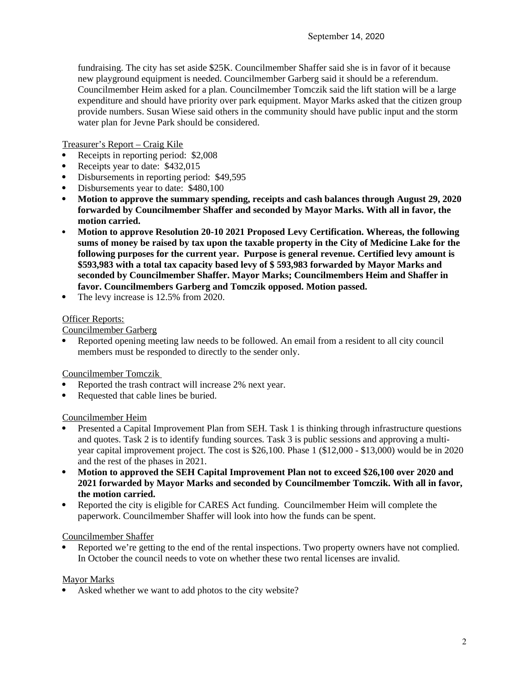fundraising. The city has set aside \$25K. Councilmember Shaffer said she is in favor of it because new playground equipment is needed. Councilmember Garberg said it should be a referendum. Councilmember Heim asked for a plan. Councilmember Tomczik said the lift station will be a large expenditure and should have priority over park equipment. Mayor Marks asked that the citizen group provide numbers. Susan Wiese said others in the community should have public input and the storm water plan for Jevne Park should be considered.

Treasurer's Report – Craig Kile

- Receipts in reporting period: \$2,008<br>Receipts year to date: \$432 015
- Receipts year to date: \$432,015
- Disbursements in reporting period: \$49,595
- Disbursements year to date: \$480,100
- **Motion to approve the summary spending, receipts and cash balances through August 29, 2020 forwarded by Councilmember Shaffer and seconded by Mayor Marks. With all in favor, the motion carried.**
- **Motion to approve Resolution 20-10 2021 Proposed Levy Certification. Whereas, the following sums of money be raised by tax upon the taxable property in the City of Medicine Lake for the following purposes for the current year. Purpose is general revenue. Certified levy amount is \$593,983 with a total tax capacity based levy of \$ 593,983 forwarded by Mayor Marks and seconded by Councilmember Shaffer. Mayor Marks; Councilmembers Heim and Shaffer in favor. Councilmembers Garberg and Tomczik opposed. Motion passed.**
- The levy increase is 12.5% from 2020.

#### Officer Reports:

Councilmember Garberg

 Reported opening meeting law needs to be followed. An email from a resident to all city council members must be responded to directly to the sender only.

Councilmember Tomczik

- Reported the trash contract will increase 2% next year.
- Requested that cable lines be buried.

#### Councilmember Heim

- Presented a Capital Improvement Plan from SEH. Task 1 is thinking through infrastructure questions and quotes. Task 2 is to identify funding sources. Task 3 is public sessions and approving a multiyear capital improvement project. The cost is \$26,100. Phase 1 (\$12,000 - \$13,000) would be in 2020 and the rest of the phases in 2021.
- **Motion to approved the SEH Capital Improvement Plan not to exceed \$26,100 over 2020 and 2021 forwarded by Mayor Marks and seconded by Councilmember Tomczik. With all in favor, the motion carried.**
- Reported the city is eligible for CARES Act funding. Councilmember Heim will complete the paperwork. Councilmember Shaffer will look into how the funds can be spent.

## Councilmember Shaffer

 Reported we're getting to the end of the rental inspections. Two property owners have not complied. In October the council needs to vote on whether these two rental licenses are invalid.

## Mayor Marks

Asked whether we want to add photos to the city website?